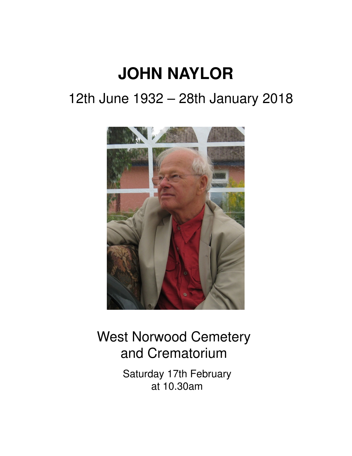# **JOHN NAYLOR**

## 12th June 1932 – 28th January 2018



## West Norwood Cemetery and Crematorium

Saturday 17th February at 10.30am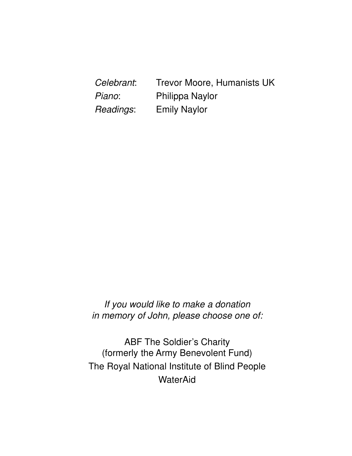| Celebrant:     | <b>Trevor Moore, Humanists UK</b> |
|----------------|-----------------------------------|
| <i>Piano</i> : | Philippa Naylor                   |
| Readings:      | <b>Emily Naylor</b>               |

If you would like to make a donation in memory of John, please choose one of:

ABF The Soldier's Charity (formerly the Army Benevolent Fund) The Royal National Institute of Blind People **WaterAid**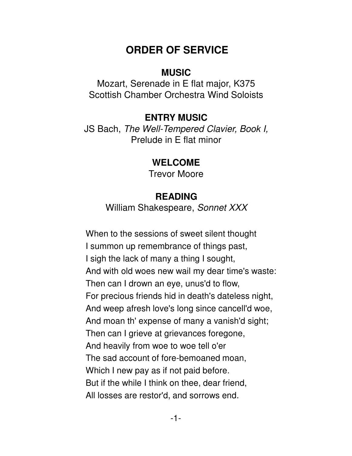## **ORDER OF SERVICE**

#### **MUSIC**

Mozart, Serenade in E flat major, K375 Scottish Chamber Orchestra Wind Soloists

#### **ENTRY MUSIC**

JS Bach, The Well-Tempered Clavier, Book I, Prelude in E flat minor

#### **WELCOME**

Trevor Moore

#### **READING**

William Shakespeare, Sonnet XXX

When to the sessions of sweet silent thought I summon up remembrance of things past, I sigh the lack of many a thing I sought, And with old woes new wail my dear time's waste: Then can I drown an eye, unus'd to flow, For precious friends hid in death's dateless night, And weep afresh love's long since cancell'd woe, And moan th' expense of many a vanish'd sight; Then can I grieve at grievances foregone, And heavily from woe to woe tell o'er The sad account of fore-bemoaned moan, Which I new pay as if not paid before. But if the while I think on thee, dear friend, All losses are restor'd, and sorrows end.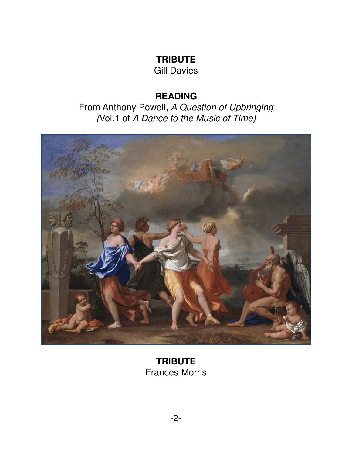## **TRIBUTE**

Gill Davies

#### **READING**

From Anthony Powell, A Question of Upbringing (Vol.1 of A Dance to the Music of Time)



**TRIBUTE** Frances Morris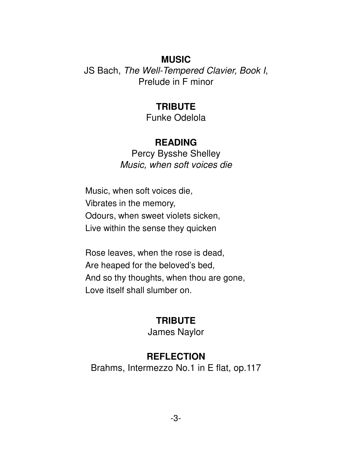#### **MUSIC**

JS Bach, The Well-Tempered Clavier, Book I, Prelude in F minor

#### **TRIBUTE**

Funke Odelola

#### **READING**

Percy Bysshe Shelley Music, when soft voices die

Music, when soft voices die, Vibrates in the memory, Odours, when sweet violets sicken, Live within the sense they quicken

Rose leaves, when the rose is dead, Are heaped for the beloved's bed, And so thy thoughts, when thou are gone, Love itself shall slumber on.

### **TRIBUTE**

James Naylor

### **REFLECTION**

Brahms, Intermezzo No.1 in E flat, op.117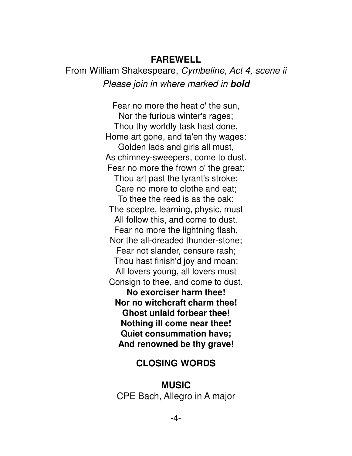#### **FAREWELL**

From William Shakespeare, Cymbeline, Act 4, scene ii Please join in where marked in **bold**

> Fear no more the heat o' the sun, Nor the furious winter's rages; Thou thy worldly task hast done, Home art gone, and ta'en thy wages: Golden lads and girls all must, As chimney-sweepers, come to dust. Fear no more the frown o' the great; Thou art past the tyrant's stroke; Care no more to clothe and eat; To thee the reed is as the oak: The sceptre, learning, physic, must All follow this, and come to dust. Fear no more the lightning flash, Nor the all-dreaded thunder-stone; Fear not slander, censure rash; Thou hast finish'd joy and moan: All lovers young, all lovers must Consign to thee, and come to dust. **No exorciser harm thee! Nor no witchcraft charm thee!**

**Ghost unlaid forbear thee! Nothing ill come near thee! Quiet consummation have; And renowned be thy grave!**

#### **CLOSING WORDS**

#### **MUSIC**

CPE Bach, Allegro in A major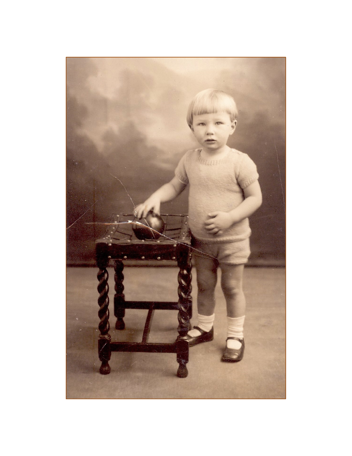